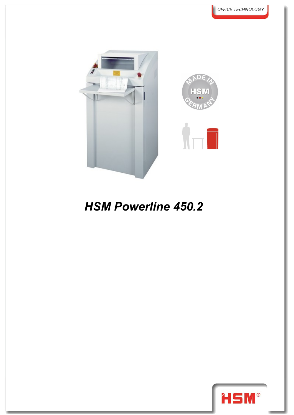

## *HSM Powerline 450.2*